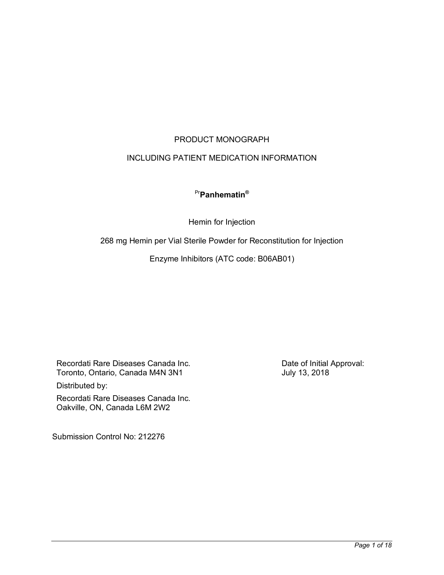# PRODUCT MONOGRAPH

# INCLUDING PATIENT MEDICATION INFORMATION

# Pr**Panhematin®**

Hemin for Injection

268 mg Hemin per Vial Sterile Powder for Reconstitution for Injection

Enzyme Inhibitors (ATC code: B06AB01)

Recordati Rare Diseases Canada Inc. Toronto, Ontario, Canada M4N 3N1 Distributed by:

Recordati Rare Diseases Canada Inc. Oakville, ON, Canada L6M 2W2

Submission Control No: 212276

Date of Initial Approval: July 13, 2018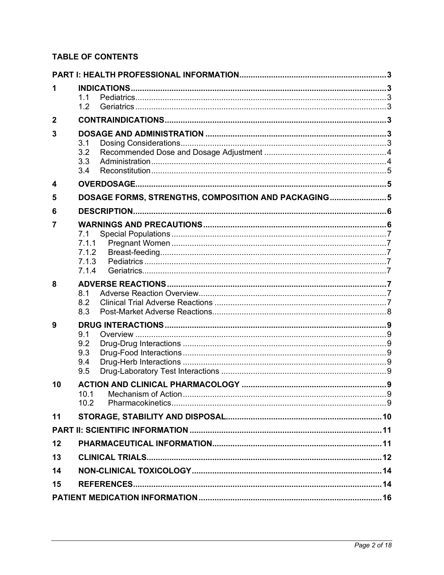# **TABLE OF CONTENTS**

| 1              |                                                      |              |  |
|----------------|------------------------------------------------------|--------------|--|
|                | 1.1<br>1.2                                           |              |  |
| $\mathbf{2}$   |                                                      |              |  |
|                |                                                      |              |  |
| 3              | 3.1                                                  |              |  |
|                | 3.2                                                  |              |  |
|                | 3.3                                                  |              |  |
|                | 3.4                                                  |              |  |
| 4              |                                                      |              |  |
| 5              | DOSAGE FORMS, STRENGTHS, COMPOSITION AND PACKAGING 5 |              |  |
| 6              |                                                      |              |  |
| $\overline{7}$ |                                                      |              |  |
|                | 7.1<br>7.1.1                                         |              |  |
|                | 7.1.2                                                |              |  |
|                | 7.1.3                                                |              |  |
|                | 7.1.4                                                |              |  |
| 8              | 8.1                                                  |              |  |
|                | 8.2                                                  |              |  |
|                | 8.3                                                  |              |  |
| 9              |                                                      |              |  |
|                | 9.1<br>9.2                                           |              |  |
|                | 9.3                                                  |              |  |
|                | 9.4                                                  |              |  |
|                | 9.5                                                  |              |  |
| 10             | 10.1 Mechanism of Action                             | $\mathbf{Q}$ |  |
|                | 10.2                                                 |              |  |
| 11             |                                                      |              |  |
|                |                                                      |              |  |
| 12             |                                                      |              |  |
| 13             |                                                      |              |  |
| 14             |                                                      |              |  |
| 15             |                                                      |              |  |
|                |                                                      |              |  |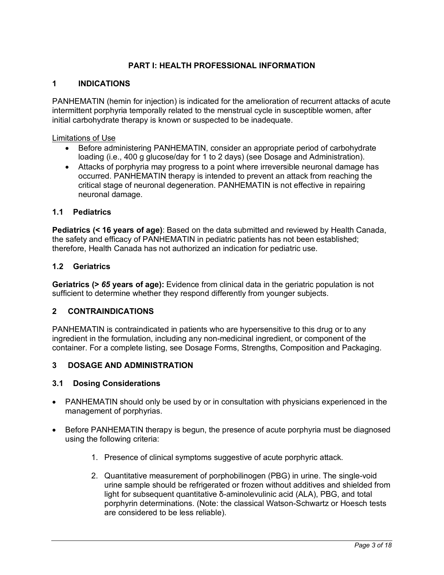# **PART I: HEALTH PROFESSIONAL INFORMATION**

### **1 INDICATIONS**

PANHEMATIN (hemin for injection) is indicated for the amelioration of recurrent attacks of acute intermittent porphyria temporally related to the menstrual cycle in susceptible women, after initial carbohydrate therapy is known or suspected to be inadequate.

#### Limitations of Use

- Before administering PANHEMATIN, consider an appropriate period of carbohydrate loading (i.e., 400 g glucose/day for 1 to 2 days) (see Dosage and Administration).
- Attacks of porphyria may progress to a point where irreversible neuronal damage has occurred. PANHEMATIN therapy is intended to prevent an attack from reaching the critical stage of neuronal degeneration. PANHEMATIN is not effective in repairing neuronal damage.

#### **1.1 Pediatrics**

**Pediatrics (< 16 years of age)**: Based on the data submitted and reviewed by Health Canada, the safety and efficacy of PANHEMATIN in pediatric patients has not been established; therefore, Health Canada has not authorized an indication for pediatric use.

#### **1.2 Geriatrics**

**Geriatrics (>** *65* **years of age):** Evidence from clinical data in the geriatric population is not sufficient to determine whether they respond differently from younger subjects.

### **2 CONTRAINDICATIONS**

PANHEMATIN is contraindicated in patients who are hypersensitive to this drug or to any ingredient in the formulation, including any non-medicinal ingredient, or component of the container. For a complete listing, see Dosage Forms, Strengths, Composition and Packaging.

### **3 DOSAGE AND ADMINISTRATION**

### **3.1 Dosing Considerations**

- PANHEMATIN should only be used by or in consultation with physicians experienced in the management of porphyrias.
- Before PANHEMATIN therapy is begun, the presence of acute porphyria must be diagnosed using the following criteria:
	- 1. Presence of clinical symptoms suggestive of acute porphyric attack.
	- 2. Quantitative measurement of porphobilinogen (PBG) in urine. The single-void urine sample should be refrigerated or frozen without additives and shielded from light for subsequent quantitative δ-aminolevulinic acid (ALA), PBG, and total porphyrin determinations. (Note: the classical Watson-Schwartz or Hoesch tests are considered to be less reliable).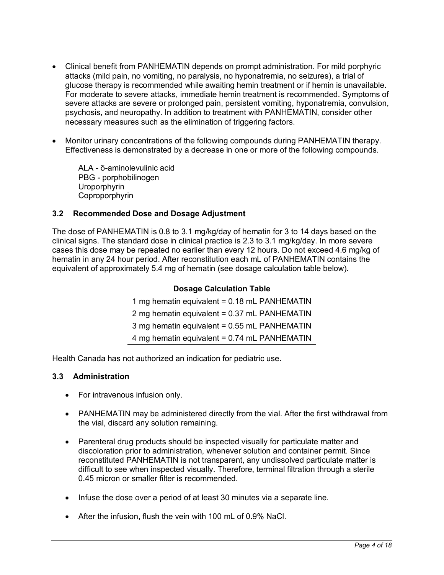- Clinical benefit from PANHEMATIN depends on prompt administration. For mild porphyric attacks (mild pain, no vomiting, no paralysis, no hyponatremia, no seizures), a trial of glucose therapy is recommended while awaiting hemin treatment or if hemin is unavailable. For moderate to severe attacks, immediate hemin treatment is recommended. Symptoms of severe attacks are severe or prolonged pain, persistent vomiting, hyponatremia, convulsion, psychosis, and neuropathy. In addition to treatment with PANHEMATIN, consider other necessary measures such as the elimination of triggering factors.
- Monitor urinary concentrations of the following compounds during PANHEMATIN therapy. Effectiveness is demonstrated by a decrease in one or more of the following compounds.

ALA - δ-aminolevulinic acid PBG - porphobilinogen Uroporphyrin Coproporphyrin

# **3.2 Recommended Dose and Dosage Adjustment**

The dose of PANHEMATIN is 0.8 to 3.1 mg/kg/day of hematin for 3 to 14 days based on the clinical signs. The standard dose in clinical practice is 2.3 to 3.1 mg/kg/day. In more severe cases this dose may be repeated no earlier than every 12 hours. Do not exceed 4.6 mg/kg of hematin in any 24 hour period. After reconstitution each mL of PANHEMATIN contains the equivalent of approximately 5.4 mg of hematin (see dosage calculation table below).

| <b>Dosage Calculation Table</b>              |  |  |  |
|----------------------------------------------|--|--|--|
| 1 mg hematin equivalent = 0.18 mL PANHEMATIN |  |  |  |
| 2 mg hematin equivalent = 0.37 mL PANHEMATIN |  |  |  |
| 3 mg hematin equivalent = 0.55 mL PANHEMATIN |  |  |  |
| 4 mg hematin equivalent = 0.74 mL PANHEMATIN |  |  |  |

Health Canada has not authorized an indication for pediatric use.

### **3.3 Administration**

- For intravenous infusion only.
- PANHEMATIN may be administered directly from the vial. After the first withdrawal from the vial, discard any solution remaining.
- Parenteral drug products should be inspected visually for particulate matter and discoloration prior to administration, whenever solution and container permit. Since reconstituted PANHEMATIN is not transparent, any undissolved particulate matter is difficult to see when inspected visually. Therefore, terminal filtration through a sterile 0.45 micron or smaller filter is recommended.
- Infuse the dose over a period of at least 30 minutes via a separate line.
- After the infusion, flush the vein with 100 mL of 0.9% NaCl.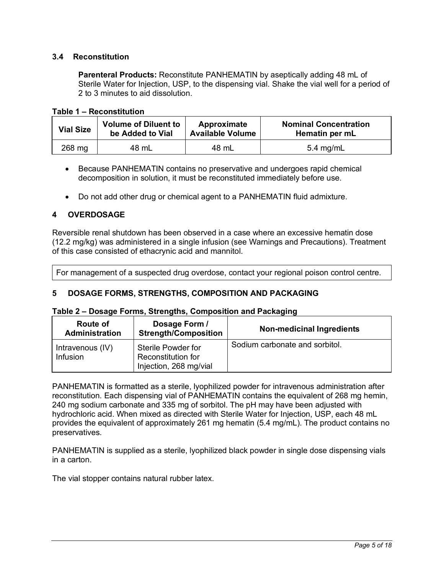# **3.4 Reconstitution**

**Parenteral Products:** Reconstitute PANHEMATIN by aseptically adding 48 mL of Sterile Water for Injection, USP, to the dispensing vial. Shake the vial well for a period of 2 to 3 minutes to aid dissolution.

| Table 1 - Reconstitution |
|--------------------------|
|--------------------------|

| <b>Vial Size</b> | <b>Volume of Diluent to</b> | Approximate             | <b>Nominal Concentration</b> |
|------------------|-----------------------------|-------------------------|------------------------------|
|                  | be Added to Vial            | <b>Available Volume</b> | Hematin per mL               |
| 268 mg           | 48 mL                       | 48 mL                   | $5.4 \text{ mg/mL}$          |

- Because PANHEMATIN contains no preservative and undergoes rapid chemical decomposition in solution, it must be reconstituted immediately before use.
- Do not add other drug or chemical agent to a PANHEMATIN fluid admixture.

# **4 OVERDOSAGE**

Reversible renal shutdown has been observed in a case where an excessive hematin dose (12.2 mg/kg) was administered in a single infusion (see Warnings and Precautions). Treatment of this case consisted of ethacrynic acid and mannitol.

For management of a suspected drug overdose, contact your regional poison control centre.

### **5 DOSAGE FORMS, STRENGTHS, COMPOSITION AND PACKAGING**

#### **Table 2 – Dosage Forms, Strengths, Composition and Packaging**

| Route of<br><b>Administration</b> | Dosage Form /<br><b>Strength/Composition</b>                       | <b>Non-medicinal Ingredients</b> |
|-----------------------------------|--------------------------------------------------------------------|----------------------------------|
| Intravenous (IV)<br>Infusion      | Sterile Powder for<br>Reconstitution for<br>Injection, 268 mg/vial | Sodium carbonate and sorbitol.   |

PANHEMATIN is formatted as a sterile, lyophilized powder for intravenous administration after reconstitution. Each dispensing vial of PANHEMATIN contains the equivalent of 268 mg hemin, 240 mg sodium carbonate and 335 mg of sorbitol. The pH may have been adjusted with hydrochloric acid. When mixed as directed with Sterile Water for Injection, USP, each 48 mL provides the equivalent of approximately 261 mg hematin (5.4 mg/mL). The product contains no preservatives.

PANHEMATIN is supplied as a sterile, lyophilized black powder in single dose dispensing vials in a carton.

The vial stopper contains natural rubber latex.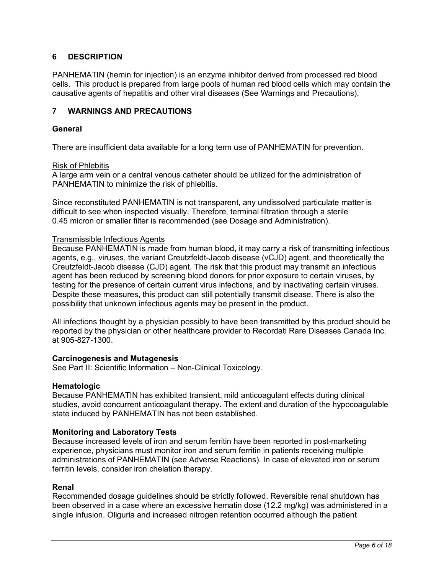# **6 DESCRIPTION**

PANHEMATIN (hemin for injection) is an enzyme inhibitor derived from processed red blood cells. This product is prepared from large pools of human red blood cells which may contain the causative agents of hepatitis and other viral diseases (See Warnings and Precautions).

#### **7 WARNINGS AND PRECAUTIONS**

#### **General**

There are insufficient data available for a long term use of PANHEMATIN for prevention.

#### Risk of Phlebitis

A large arm vein or a central venous catheter should be utilized for the administration of PANHEMATIN to minimize the risk of phlebitis.

Since reconstituted PANHEMATIN is not transparent, any undissolved particulate matter is difficult to see when inspected visually. Therefore, terminal filtration through a sterile 0.45 micron or smaller filter is recommended (see Dosage and Administration).

#### Transmissible Infectious Agents

Because PANHEMATIN is made from human blood, it may carry a risk of transmitting infectious agents, e.g., viruses, the variant Creutzfeldt-Jacob disease (vCJD) agent, and theoretically the Creutzfeldt-Jacob disease (CJD) agent. The risk that this product may transmit an infectious agent has been reduced by screening blood donors for prior exposure to certain viruses, by testing for the presence of certain current virus infections, and by inactivating certain viruses. Despite these measures, this product can still potentially transmit disease. There is also the possibility that unknown infectious agents may be present in the product.

All infections thought by a physician possibly to have been transmitted by this product should be reported by the physician or other healthcare provider to Recordati Rare Diseases Canada Inc. at 905-827-1300.

#### **Carcinogenesis and Mutagenesis**

See Part II: Scientific Information – Non-Clinical Toxicology.

#### **Hematologic**

Because PANHEMATIN has exhibited transient, mild anticoagulant effects during clinical studies, avoid concurrent anticoagulant therapy. The extent and duration of the hypocoagulable state induced by PANHEMATIN has not been established.

#### **Monitoring and Laboratory Tests**

Because increased levels of iron and serum ferritin have been reported in post-marketing experience, physicians must monitor iron and serum ferritin in patients receiving multiple administrations of PANHEMATIN (see Adverse Reactions). In case of elevated iron or serum ferritin levels, consider iron chelation therapy.

#### **Renal**

Recommended dosage guidelines should be strictly followed. Reversible renal shutdown has been observed in a case where an excessive hematin dose (12.2 mg/kg) was administered in a single infusion. Oliguria and increased nitrogen retention occurred although the patient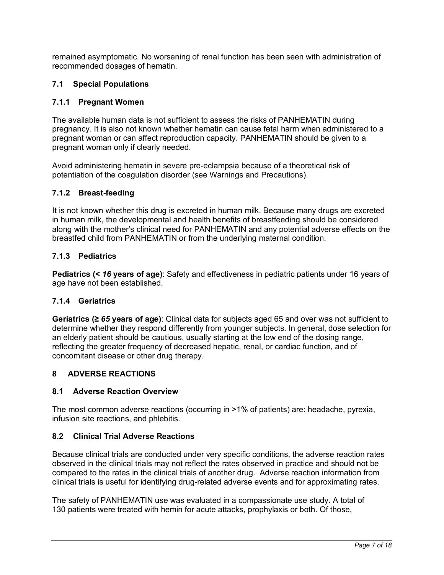remained asymptomatic. No worsening of renal function has been seen with administration of recommended dosages of hematin.

# **7.1 Special Populations**

# **7.1.1 Pregnant Women**

The available human data is not sufficient to assess the risks of PANHEMATIN during pregnancy. It is also not known whether hematin can cause fetal harm when administered to a pregnant woman or can affect reproduction capacity. PANHEMATIN should be given to a pregnant woman only if clearly needed.

Avoid administering hematin in severe pre-eclampsia because of a theoretical risk of potentiation of the coagulation disorder (see Warnings and Precautions).

# **7.1.2 Breast-feeding**

It is not known whether this drug is excreted in human milk. Because many drugs are excreted in human milk, the developmental and health benefits of breastfeeding should be considered along with the mother's clinical need for PANHEMATIN and any potential adverse effects on the breastfed child from PANHEMATIN or from the underlying maternal condition.

### **7.1.3 Pediatrics**

**Pediatrics (<** *16* **years of age)**: Safety and effectiveness in pediatric patients under 16 years of age have not been established.

# **7.1.4 Geriatrics**

**Geriatrics (≥** *65* **years of age)**: Clinical data for subjects aged 65 and over was not sufficient to determine whether they respond differently from younger subjects. In general, dose selection for an elderly patient should be cautious, usually starting at the low end of the dosing range, reflecting the greater frequency of decreased hepatic, renal, or cardiac function, and of concomitant disease or other drug therapy.

### **8 ADVERSE REACTIONS**

### **8.1 Adverse Reaction Overview**

The most common adverse reactions (occurring in >1% of patients) are: headache, pyrexia, infusion site reactions, and phlebitis.

### **8.2 Clinical Trial Adverse Reactions**

Because clinical trials are conducted under very specific conditions, the adverse reaction rates observed in the clinical trials may not reflect the rates observed in practice and should not be compared to the rates in the clinical trials of another drug. Adverse reaction information from clinical trials is useful for identifying drug-related adverse events and for approximating rates.

The safety of PANHEMATIN use was evaluated in a compassionate use study. A total of 130 patients were treated with hemin for acute attacks, prophylaxis or both. Of those,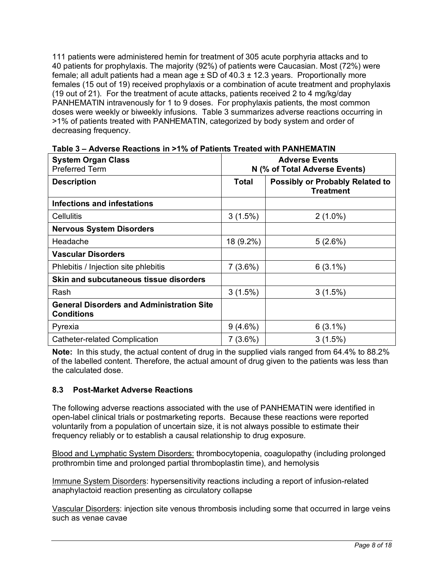111 patients were administered hemin for treatment of 305 acute porphyria attacks and to 40 patients for prophylaxis. The majority (92%) of patients were Caucasian. Most (72%) were female; all adult patients had a mean age  $\pm$  SD of 40.3  $\pm$  12.3 years. Proportionally more females (15 out of 19) received prophylaxis or a combination of acute treatment and prophylaxis (19 out of 21). For the treatment of acute attacks, patients received 2 to 4 mg/kg/day PANHEMATIN intravenously for 1 to 9 doses. For prophylaxis patients, the most common doses were weekly or biweekly infusions. Table 3 summarizes adverse reactions occurring in >1% of patients treated with PANHEMATIN, categorized by body system and order of decreasing frequency.

| <b>System Organ Class</b><br><b>Preferred Term</b>                    | <b>Adverse Events</b><br>N (% of Total Adverse Events) |                                                            |  |
|-----------------------------------------------------------------------|--------------------------------------------------------|------------------------------------------------------------|--|
| <b>Description</b>                                                    | Total                                                  | <b>Possibly or Probably Related to</b><br><b>Treatment</b> |  |
| Infections and infestations                                           |                                                        |                                                            |  |
| Cellulitis                                                            | 3(1.5%)                                                | $2(1.0\%)$                                                 |  |
| <b>Nervous System Disorders</b>                                       |                                                        |                                                            |  |
| Headache                                                              | 18 (9.2%)                                              | 5(2.6%)                                                    |  |
| <b>Vascular Disorders</b>                                             |                                                        |                                                            |  |
| Phlebitis / Injection site phlebitis                                  | 7(3.6%)                                                | $6(3.1\%)$                                                 |  |
| Skin and subcutaneous tissue disorders                                |                                                        |                                                            |  |
| Rash                                                                  | 3(1.5%)                                                | 3(1.5%)                                                    |  |
| <b>General Disorders and Administration Site</b><br><b>Conditions</b> |                                                        |                                                            |  |
| Pyrexia                                                               | $9(4.6\%)$                                             | $6(3.1\%)$                                                 |  |
| Catheter-related Complication                                         | $7(3.6\%)$                                             | 3(1.5%)                                                    |  |

**Table 3 – Adverse Reactions in >1% of Patients Treated with PANHEMATIN** 

**Note:** In this study, the actual content of drug in the supplied vials ranged from 64.4% to 88.2% of the labelled content. Therefore, the actual amount of drug given to the patients was less than the calculated dose.

# **8.3 Post-Market Adverse Reactions**

The following adverse reactions associated with the use of PANHEMATIN were identified in open-label clinical trials or postmarketing reports. Because these reactions were reported voluntarily from a population of uncertain size, it is not always possible to estimate their frequency reliably or to establish a causal relationship to drug exposure.

Blood and Lymphatic System Disorders: thrombocytopenia, coagulopathy (including prolonged prothrombin time and prolonged partial thromboplastin time), and hemolysis

Immune System Disorders: hypersensitivity reactions including a report of infusion-related anaphylactoid reaction presenting as circulatory collapse

Vascular Disorders: injection site venous thrombosis including some that occurred in large veins such as venae cavae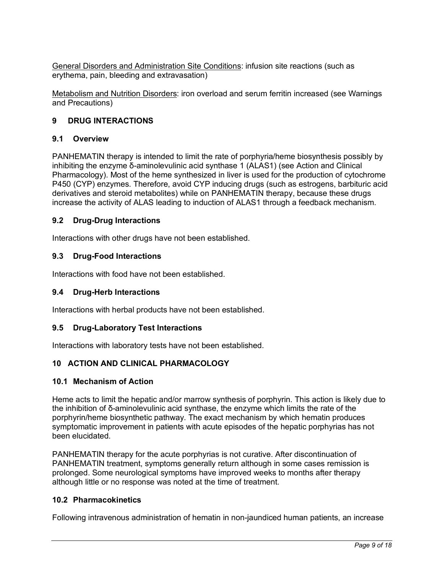General Disorders and Administration Site Conditions: infusion site reactions (such as erythema, pain, bleeding and extravasation)

Metabolism and Nutrition Disorders: iron overload and serum ferritin increased (see Warnings and Precautions)

# **9 DRUG INTERACTIONS**

#### **9.1 Overview**

PANHEMATIN therapy is intended to limit the rate of porphyria/heme biosynthesis possibly by inhibiting the enzyme δ-aminolevulinic acid synthase 1 (ALAS1) (see Action and Clinical Pharmacology). Most of the heme synthesized in liver is used for the production of cytochrome P450 (CYP) enzymes. Therefore, avoid CYP inducing drugs (such as estrogens, barbituric acid derivatives and steroid metabolites) while on PANHEMATIN therapy, because these drugs increase the activity of ALAS leading to induction of ALAS1 through a feedback mechanism.

#### **9.2 Drug-Drug Interactions**

Interactions with other drugs have not been established.

### **9.3 Drug-Food Interactions**

Interactions with food have not been established.

#### **9.4 Drug-Herb Interactions**

Interactions with herbal products have not been established.

#### **9.5 Drug-Laboratory Test Interactions**

Interactions with laboratory tests have not been established.

### **10 ACTION AND CLINICAL PHARMACOLOGY**

#### **10.1 Mechanism of Action**

Heme acts to limit the hepatic and/or marrow synthesis of porphyrin. This action is likely due to the inhibition of δ-aminolevulinic acid synthase, the enzyme which limits the rate of the porphyrin/heme biosynthetic pathway. The exact mechanism by which hematin produces symptomatic improvement in patients with acute episodes of the hepatic porphyrias has not been elucidated.

PANHEMATIN therapy for the acute porphyrias is not curative. After discontinuation of PANHEMATIN treatment, symptoms generally return although in some cases remission is prolonged. Some neurological symptoms have improved weeks to months after therapy although little or no response was noted at the time of treatment.

#### **10.2 Pharmacokinetics**

Following intravenous administration of hematin in non-jaundiced human patients, an increase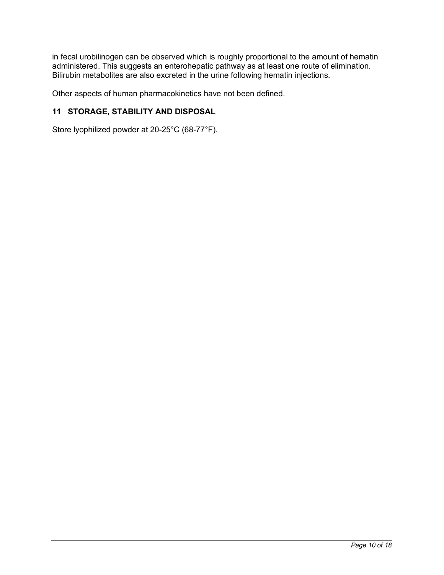in fecal urobilinogen can be observed which is roughly proportional to the amount of hematin administered. This suggests an enterohepatic pathway as at least one route of elimination. Bilirubin metabolites are also excreted in the urine following hematin injections.

Other aspects of human pharmacokinetics have not been defined.

# **11 STORAGE, STABILITY AND DISPOSAL**

Store lyophilized powder at 20-25°C (68-77°F).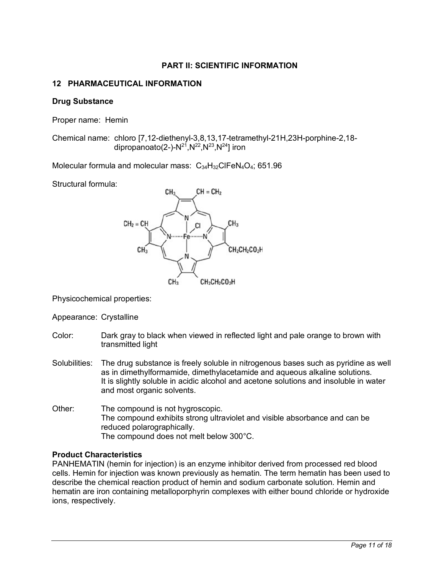# **PART II: SCIENTIFIC INFORMATION**

# **12 PHARMACEUTICAL INFORMATION**

#### **Drug Substance**

Proper name: Hemin

Chemical name: chloro [7,12-diethenyl-3,8,13,17-tetramethyl-21H,23H-porphine-2,18 dipropanoato(2-)- $N^{21}$ ,  $N^{22}$ ,  $N^{23}$ ,  $N^{24}$ ] iron

Molecular formula and molecular mass: C<sub>34</sub>H<sub>32</sub>ClFeN<sub>4</sub>O<sub>4</sub>; 651.96

Structural formula:



Physicochemical properties:

Appearance: Crystalline

- Color: Dark gray to black when viewed in reflected light and pale orange to brown with transmitted light
- Solubilities: The drug substance is freely soluble in nitrogenous bases such as pyridine as well as in dimethylformamide, dimethylacetamide and aqueous alkaline solutions. It is slightly soluble in acidic alcohol and acetone solutions and insoluble in water and most organic solvents.
- Other: The compound is not hygroscopic. The compound exhibits strong ultraviolet and visible absorbance and can be reduced polarographically. The compound does not melt below 300°C.

### **Product Characteristics**

PANHEMATIN (hemin for injection) is an enzyme inhibitor derived from processed red blood cells. Hemin for injection was known previously as hematin. The term hematin has been used to describe the chemical reaction product of hemin and sodium carbonate solution. Hemin and hematin are iron containing metalloporphyrin complexes with either bound chloride or hydroxide ions, respectively.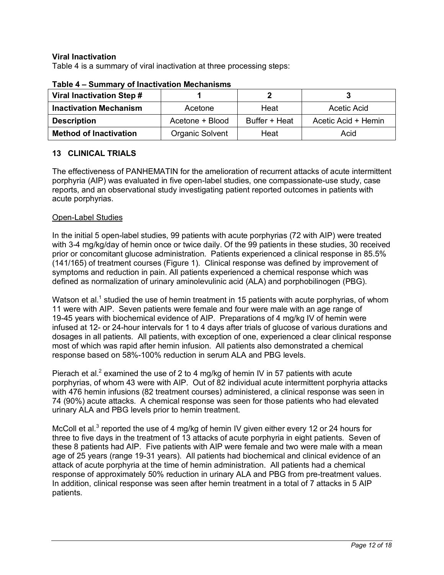### **Viral Inactivation**

Table 4 is a summary of viral inactivation at three processing steps:

| Viral Inactivation Step #     |                 |               |                     |  |
|-------------------------------|-----------------|---------------|---------------------|--|
| <b>Inactivation Mechanism</b> | Acetone         | Heat          | Acetic Acid         |  |
| <b>Description</b>            | Acetone + Blood | Buffer + Heat | Acetic Acid + Hemin |  |
| <b>Method of Inactivation</b> | Organic Solvent | Heat          | Acid                |  |

#### **Table 4 – Summary of Inactivation Mechanisms**

# **13 CLINICAL TRIALS**

The effectiveness of PANHEMATIN for the amelioration of recurrent attacks of acute intermittent porphyria (AIP) was evaluated in five open-label studies, one compassionate-use study, case reports, and an observational study investigating patient reported outcomes in patients with acute porphyrias.

#### Open-Label Studies

In the initial 5 open-label studies, 99 patients with acute porphyrias (72 with AIP) were treated with 3-4 mg/kg/day of hemin once or twice daily. Of the 99 patients in these studies, 30 received prior or concomitant glucose administration. Patients experienced a clinical response in 85.5% (141/165) of treatment courses (Figure 1). Clinical response was defined by improvement of symptoms and reduction in pain. All patients experienced a chemical response which was defined as normalization of urinary aminolevulinic acid (ALA) and porphobilinogen (PBG).

Watson et al.<sup>1</sup> studied the use of hemin treatment in 15 patients with acute porphyrias, of whom 11 were with AIP. Seven patients were female and four were male with an age range of 19-45 years with biochemical evidence of AIP. Preparations of 4 mg/kg IV of hemin were infused at 12- or 24-hour intervals for 1 to 4 days after trials of glucose of various durations and dosages in all patients. All patients, with exception of one, experienced a clear clinical response most of which was rapid after hemin infusion. All patients also demonstrated a chemical response based on 58%-100% reduction in serum ALA and PBG levels.

Pierach et al.<sup>2</sup> examined the use of 2 to 4 mg/kg of hemin IV in 57 patients with acute porphyrias, of whom 43 were with AIP. Out of 82 individual acute intermittent porphyria attacks with 476 hemin infusions (82 treatment courses) administered, a clinical response was seen in 74 (90%) acute attacks. A chemical response was seen for those patients who had elevated urinary ALA and PBG levels prior to hemin treatment.

McColl et al.<sup>3</sup> reported the use of 4 mg/kg of hemin IV given either every 12 or 24 hours for three to five days in the treatment of 13 attacks of acute porphyria in eight patients. Seven of these 8 patients had AIP. Five patients with AIP were female and two were male with a mean age of 25 years (range 19-31 years). All patients had biochemical and clinical evidence of an attack of acute porphyria at the time of hemin administration. All patients had a chemical response of approximately 50% reduction in urinary ALA and PBG from pre-treatment values. In addition, clinical response was seen after hemin treatment in a total of 7 attacks in 5 AIP patients.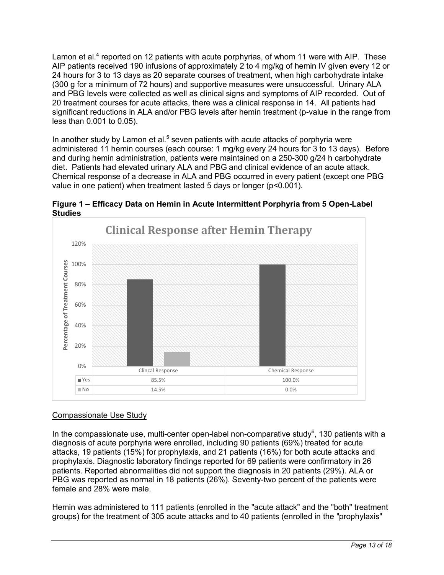Lamon et al.<sup>4</sup> reported on 12 patients with acute porphyrias, of whom 11 were with AIP. These AIP patients received 190 infusions of approximately 2 to 4 mg/kg of hemin IV given every 12 or 24 hours for 3 to 13 days as 20 separate courses of treatment, when high carbohydrate intake (300 g for a minimum of 72 hours) and supportive measures were unsuccessful. Urinary ALA and PBG levels were collected as well as clinical signs and symptoms of AIP recorded. Out of 20 treatment courses for acute attacks, there was a clinical response in 14. All patients had significant reductions in ALA and/or PBG levels after hemin treatment (p-value in the range from less than 0.001 to 0.05).

In another study by Lamon et al.<sup>5</sup> seven patients with acute attacks of porphyria were administered 11 hemin courses (each course: 1 mg/kg every 24 hours for 3 to 13 days). Before and during hemin administration, patients were maintained on a 250-300 g/24 h carbohydrate diet. Patients had elevated urinary ALA and PBG and clinical evidence of an acute attack. Chemical response of a decrease in ALA and PBG occurred in every patient (except one PBG value in one patient) when treatment lasted 5 days or longer (p<0.001).





# Compassionate Use Study

In the compassionate use, multi-center open-label non-comparative study<sup>6</sup>, 130 patients with a diagnosis of acute porphyria were enrolled, including 90 patients (69%) treated for acute attacks, 19 patients (15%) for prophylaxis, and 21 patients (16%) for both acute attacks and prophylaxis. Diagnostic laboratory findings reported for 69 patients were confirmatory in 26 patients. Reported abnormalities did not support the diagnosis in 20 patients (29%). ALA or PBG was reported as normal in 18 patients (26%). Seventy-two percent of the patients were female and 28% were male.

Hemin was administered to 111 patients (enrolled in the "acute attack" and the "both" treatment groups) for the treatment of 305 acute attacks and to 40 patients (enrolled in the "prophylaxis"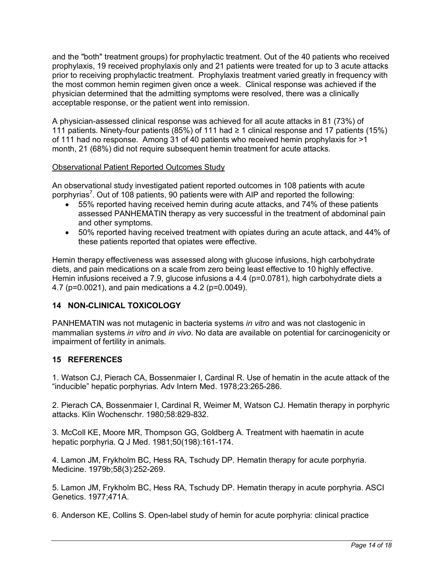and the "both" treatment groups) for prophylactic treatment. Out of the 40 patients who received prophylaxis, 19 received prophylaxis only and 21 patients were treated for up to 3 acute attacks prior to receiving prophylactic treatment. Prophylaxis treatment varied greatly in frequency with the most common hemin regimen given once a week. Clinical response was achieved if the physician determined that the admitting symptoms were resolved, there was a clinically acceptable response, or the patient went into remission.

A physician-assessed clinical response was achieved for all acute attacks in 81 (73%) of 111 patients. Ninety-four patients (85%) of 111 had ≥ 1 clinical response and 17 patients (15%) of 111 had no response. Among 31 of 40 patients who received hemin prophylaxis for >1 month, 21 (68%) did not require subsequent hemin treatment for acute attacks.

### Observational Patient Reported Outcomes Study

An observational study investigated patient reported outcomes in 108 patients with acute porphyrias<sup>7</sup>. Out of 108 patients, 90 patients were with AIP and reported the following:

- 55% reported having received hemin during acute attacks, and 74% of these patients assessed PANHEMATIN therapy as very successful in the treatment of abdominal pain and other symptoms.
- 50% reported having received treatment with opiates during an acute attack, and 44% of these patients reported that opiates were effective.

Hemin therapy effectiveness was assessed along with glucose infusions, high carbohydrate diets, and pain medications on a scale from zero being least effective to 10 highly effective. Hemin infusions received a 7.9, glucose infusions a 4.4 (p=0.0781), high carbohydrate diets a 4.7 (p=0.0021), and pain medications a 4.2 (p=0.0049).

# **14 NON-CLINICAL TOXICOLOGY**

PANHEMATIN was not mutagenic in bacteria systems *in vitro* and was not clastogenic in mammalian systems *in vitro* and *in vivo*. No data are available on potential for carcinogenicity or impairment of fertility in animals.

# **15 REFERENCES**

1. Watson CJ, Pierach CA, Bossenmaier I, Cardinal R. Use of hematin in the acute attack of the "inducible" hepatic porphyrias. Adv Intern Med. 1978;23:265-286.

2. Pierach CA, Bossenmaier I, Cardinal R, Weimer M, Watson CJ. Hematin therapy in porphyric attacks. Klin Wochenschr. 1980;58:829-832.

3. McColl KE, Moore MR, Thompson GG, Goldberg A. Treatment with haematin in acute hepatic porphyria. Q J Med. 1981;50(198):161-174.

4. Lamon JM, Frykholm BC, Hess RA, Tschudy DP. Hematin therapy for acute porphyria. Medicine. 1979b;58(3):252-269.

5. Lamon JM, Frykholm BC, Hess RA, Tschudy DP. Hematin therapy in acute porphyria. ASCI Genetics. 1977;471A.

6. Anderson KE, Collins S. Open-label study of hemin for acute porphyria: clinical practice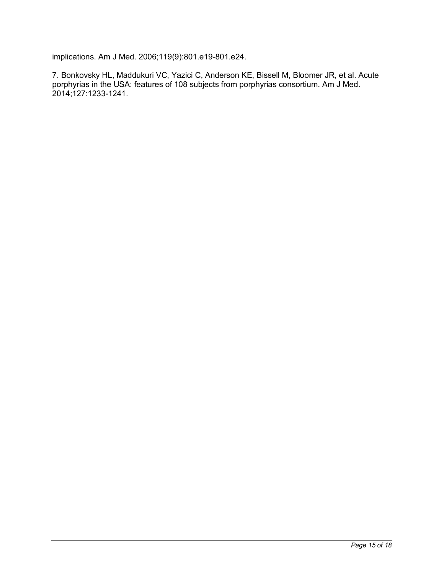implications. Am J Med. 2006;119(9):801.e19-801.e24.

7. Bonkovsky HL, Maddukuri VC, Yazici C, Anderson KE, Bissell M, Bloomer JR, et al. Acute porphyrias in the USA: features of 108 subjects from porphyrias consortium. Am J Med. 2014;127:1233-1241.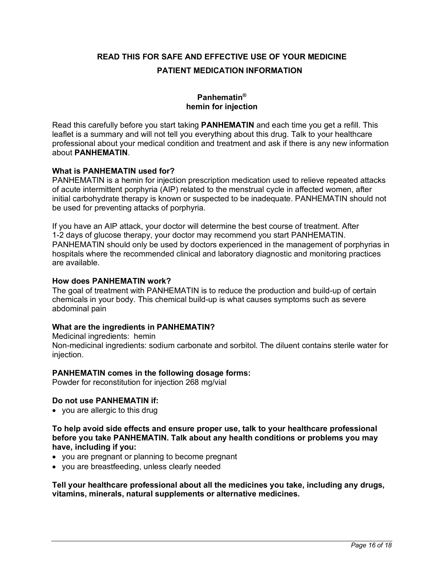**READ THIS FOR SAFE AND EFFECTIVE USE OF YOUR MEDICINE PATIENT MEDICATION INFORMATION**

# **Panhematin® hemin for injection**

Read this carefully before you start taking **PANHEMATIN** and each time you get a refill. This leaflet is a summary and will not tell you everything about this drug. Talk to your healthcare professional about your medical condition and treatment and ask if there is any new information about **PANHEMATIN**.

#### **What is PANHEMATIN used for?**

PANHEMATIN is a hemin for injection prescription medication used to relieve repeated attacks of acute intermittent porphyria (AIP) related to the menstrual cycle in affected women, after initial carbohydrate therapy is known or suspected to be inadequate. PANHEMATIN should not be used for preventing attacks of porphyria.

If you have an AIP attack, your doctor will determine the best course of treatment. After 1-2 days of glucose therapy, your doctor may recommend you start PANHEMATIN. PANHEMATIN should only be used by doctors experienced in the management of porphyrias in hospitals where the recommended clinical and laboratory diagnostic and monitoring practices are available.

### **How does PANHEMATIN work?**

The goal of treatment with PANHEMATIN is to reduce the production and build-up of certain chemicals in your body. This chemical build-up is what causes symptoms such as severe abdominal pain

### **What are the ingredients in PANHEMATIN?**

Medicinal ingredients: hemin

Non-medicinal ingredients: sodium carbonate and sorbitol. The diluent contains sterile water for injection.

#### **PANHEMATIN comes in the following dosage forms:**

Powder for reconstitution for injection 268 mg/vial

#### **Do not use PANHEMATIN if:**

• you are allergic to this drug

**To help avoid side effects and ensure proper use, talk to your healthcare professional before you take PANHEMATIN. Talk about any health conditions or problems you may have, including if you:** 

- you are pregnant or planning to become pregnant
- you are breastfeeding, unless clearly needed

**Tell your healthcare professional about all the medicines you take, including any drugs, vitamins, minerals, natural supplements or alternative medicines.**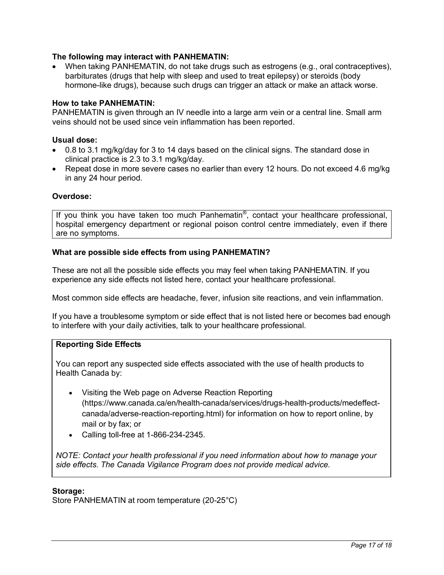### **The following may interact with PANHEMATIN:**

• When taking PANHEMATIN, do not take drugs such as estrogens (e.g., oral contraceptives), barbiturates (drugs that help with sleep and used to treat epilepsy) or steroids (body hormone-like drugs), because such drugs can trigger an attack or make an attack worse.

#### **How to take PANHEMATIN:**

PANHEMATIN is given through an IV needle into a large arm vein or a central line. Small arm veins should not be used since vein inflammation has been reported.

#### **Usual dose:**

- 0.8 to 3.1 mg/kg/day for 3 to 14 days based on the clinical signs. The standard dose in clinical practice is 2.3 to 3.1 mg/kg/day.
- Repeat dose in more severe cases no earlier than every 12 hours. Do not exceed 4.6 mg/kg in any 24 hour period.

#### **Overdose:**

If you think you have taken too much Panhematin®, contact your healthcare professional, hospital emergency department or regional poison control centre immediately, even if there are no symptoms.

#### **What are possible side effects from using PANHEMATIN?**

These are not all the possible side effects you may feel when taking PANHEMATIN. If you experience any side effects not listed here, contact your healthcare professional.

Most common side effects are headache, fever, infusion site reactions, and vein inflammation.

If you have a troublesome symptom or side effect that is not listed here or becomes bad enough to interfere with your daily activities, talk to your healthcare professional.

# **Reporting Side Effects**

You can report any suspected side effects associated with the use of health products to Health Canada by:

- Visiting the Web page on Adverse Reaction Reporting (https://www.canada.ca/en/health-canada/services/drugs-health-products/medeffectcanada/adverse-reaction-reporting.html) for information on how to report online, by mail or by fax; or
- Calling toll-free at 1-866-234-2345.

*NOTE: Contact your health professional if you need information about how to manage your side effects. The Canada Vigilance Program does not provide medical advice.*

#### **Storage:**

Store PANHEMATIN at room temperature (20-25°C)